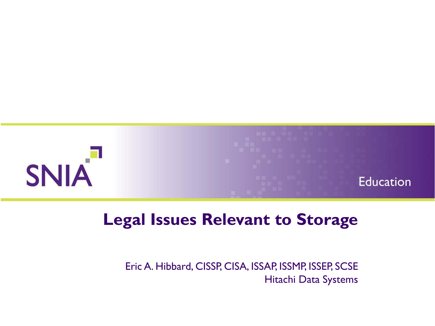

#### **Legal Issues Relevant to Storage**

Eric A. Hibbard, CISSP, CISA, ISSAP, ISSMP, ISSEP, SCSE Hitachi Data Systems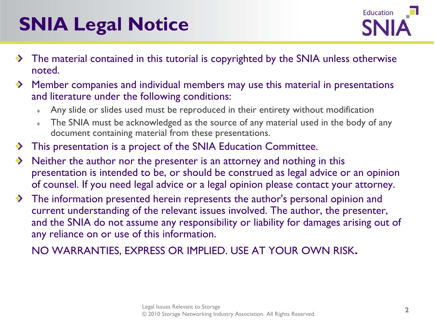## **SNIA Legal Notice**



- $\rightarrow$  The material contained in this tutorial is copyrighted by the SNIA unless otherwise noted.
- $\rightarrow$  Member companies and individual members may use this material in presentations and literature under the following conditions:
	- Any slide or slides used must be reproduced in their entirety without modification  $\Phi$
	- The SNIA must be acknowledged as the source of any material used in the body of any ò. document containing material from these presentations.
- $\rightarrow$  This presentation is a project of the SNIA Education Committee.
- Neither the author nor the presenter is an attorney and nothing in this presentation is intended to be, or should be construed as legal advice or an opinion of counsel. If you need legal advice or a legal opinion please contact your attorney.
- The information presented herein represents the author's personal opinion and current understanding of the relevant issues involved. The author, the presenter, and the SNIA do not assume any responsibility or liability for damages arising out of any reliance on or use of this information.

NO WARRANTIES, EXPRESS OR IMPLIED. USE AT YOUR OWN RISK.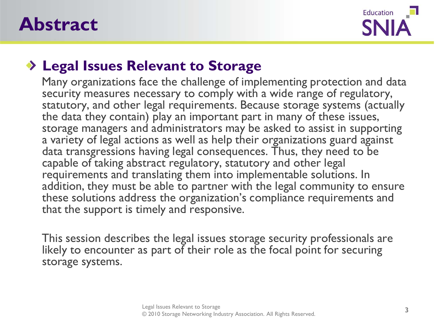



#### **Legal Issues Relevant to Storage**

Many organizations face the challenge of implementing protection and data security measures necessary to comply with a wide range of regulatory, statutory, and other legal requirements. Because storage systems (actually the data they contain) play an important part in many of these issues, storage managers and administrators may be asked to assist in supporting a variety of legal actions as well as help their organizations guard against data transgressions having legal consequences. Thus, they need to be capable of taking abstract regulatory, statutory and other legal requirements and translating them into implementable solutions. In addition, they must be able to partner with the legal community to ensure these solutions address the organization's compliance requirements and that the support is timely and responsive.

This session describes the legal issues storage security professionals are likely to encounter as part of their role as the focal point for securing storage systems.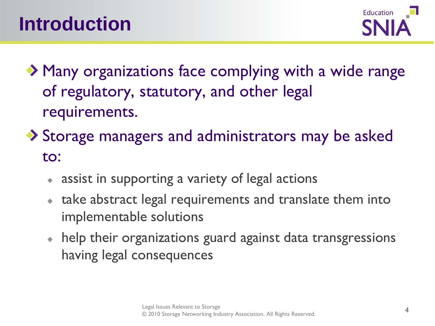

◆ Many organizations face complying with a wide range of regulatory, statutory, and other legal requirements.

- ◆ Storage managers and administrators may be asked to:
	- assist in supporting a variety of legal actions
	- take abstract legal requirements and translate them into implementable solutions
	- help their organizations guard against data transgressions having legal consequences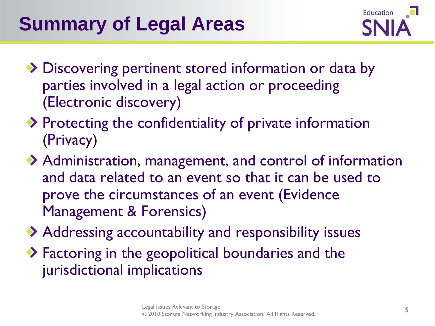## **Summary of Legal Areas**



- ◆ Discovering pertinent stored information or data by parties involved in a legal action or proceeding (Electronic discovery)
- $\rightarrow$  Protecting the confidentiality of private information (Privacy)
- Administration, management, and control of information and data related to an event so that it can be used to prove the circumstances of an event (Evidence Management & Forensics)
- Addressing accountability and responsibility issues
- ◆ Factoring in the geopolitical boundaries and the jurisdictional implications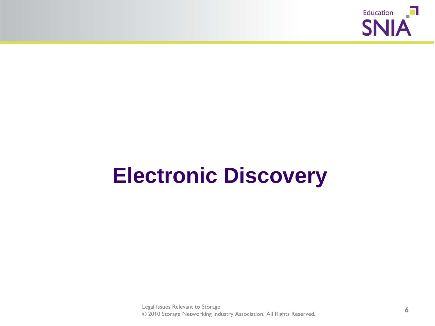

# **Electronic Discovery**

Legal Issues Relevant to Storage © 2010 Storage Networking Industry Association. All Rights Reserved. **6**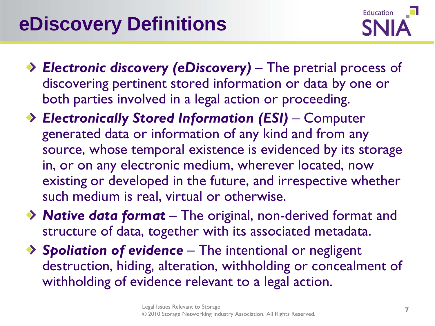

- *Electronic discovery (eDiscovery) –* The pretrial process of discovering pertinent stored information or data by one or both parties involved in a legal action or proceeding.
- *Electronically Stored Information (ESI) –* Computer generated data or information of any kind and from any source, whose temporal existence is evidenced by its storage in, or on any electronic medium, wherever located, now existing or developed in the future, and irrespective whether such medium is real, virtual or otherwise.
- *Native data format –* The original, non-derived format and structure of data, together with its associated metadata.
- *Spoliation of evidence –* The intentional or negligent destruction, hiding, alteration, withholding or concealment of withholding of evidence relevant to a legal action.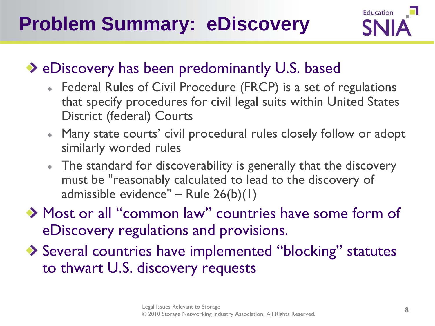

#### ◆ eDiscovery has been predominantly U.S. based

- Federal Rules of Civil Procedure (FRCP) is a set of regulations that specify procedures for civil legal suits within United States District (federal) Courts
- Many state courts' civil procedural rules closely follow or adopt similarly worded rules
- The standard for discoverability is generally that the discovery must be "reasonably calculated to lead to the discovery of admissible evidence" – Rule 26(b)(1)
- ◆ Most or all "common law" countries have some form of eDiscovery regulations and provisions.
- ◆ Several countries have implemented "blocking" statutes to thwart U.S. discovery requests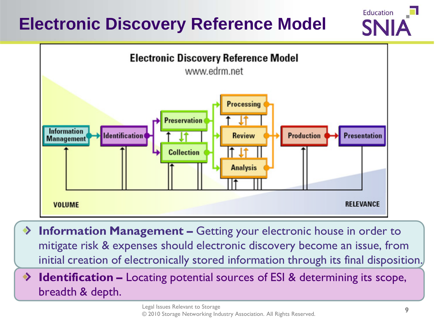#### **Electronic Discovery Reference Model**





- **Information Management –** Getting your electronic house in order to mitigate risk & expenses should electronic discovery become an issue, from initial creation of electronically stored information through its final disposition.
- **Identification –** Locating potential sources of ESI & determining its scope,  $\rightarrow$ breadth & depth.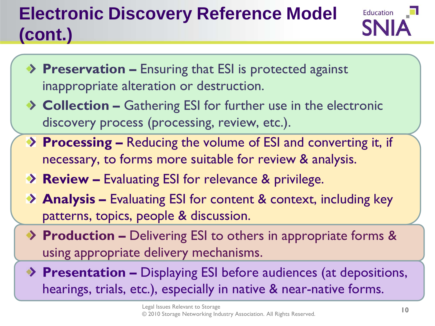## **Electronic Discovery Reference Model (cont.)**



- **Preservation –** Ensuring that ESI is protected against inappropriate alteration or destruction.
- ◆ **Collection –** Gathering ESI for further use in the electronic discovery process (processing, review, etc.).
- **Processing –** Reducing the volume of ESI and converting it, if necessary, to forms more suitable for review & analysis.
- **Review –** Evaluating ESI for relevance & privilege.
- **Analysis –** Evaluating ESI for content & context, including key patterns, topics, people & discussion.
- ◆ **Production –** Delivering ESI to others in appropriate forms & using appropriate delivery mechanisms.
- **Presentation –** Displaying ESI before audiences (at depositions, hearings, trials, etc.), especially in native & near-native forms.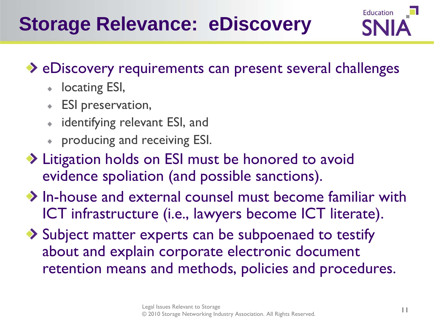## **Storage Relevance: eDiscovery**



#### ◆ eDiscovery requirements can present several challenges

- **I** locating ESI,
- ESI preservation,
- identifying relevant ESI, and
- producing and receiving ESI.
- ◆ Litigation holds on ESI must be honored to avoid evidence spoliation (and possible sanctions).
- $\rightarrow$  In-house and external counsel must become familiar with ICT infrastructure (i.e., lawyers become ICT literate).
- ◆ Subject matter experts can be subpoenaed to testify about and explain corporate electronic document retention means and methods, policies and procedures.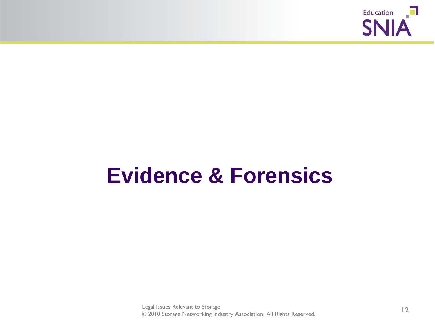

## **Evidence & Forensics**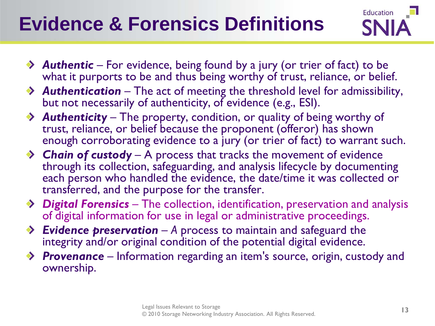## **Evidence & Forensics Definitions**



- ◆ **Authentic** For evidence, being found by a jury (or trier of fact) to be what it purports to be and thus being worthy of trust, reliance, or belief.
- *Authentication* The act of meeting the threshold level for admissibility, but not necessarily of authenticity, of evidence (e.g., ESI).
- *Authenticity –* The property, condition, or quality of being worthy of trust, reliance, or belief because the proponent (offeror) has shown enough corroborating evidence to a jury (or trier of fact) to warrant such.
- ◆ **Chain of custody** A process that tracks the movement of evidence through its collection, safeguarding, and analysis lifecycle by documenting each person who handled the evidence, the date/time it was collected or transferred, and the purpose for the transfer.
- *Digital Forensics* The collection, identification, preservation and analysis of digital information for use in legal or administrative proceedings.
- ◆ *Evidence preservation* A process to maintain and safeguard the integrity and/or original condition of the potential digital evidence.
- ◆ **Provenance** Information regarding an item's source, origin, custody and ownership.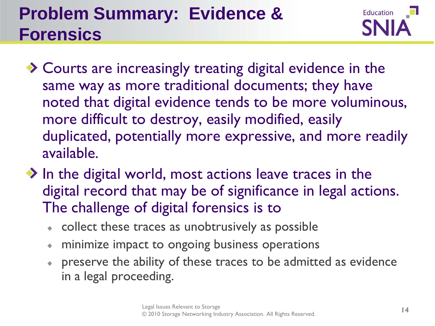#### **Problem Summary: Evidence & Forensics**



- ◆ Courts are increasingly treating digital evidence in the same way as more traditional documents; they have noted that digital evidence tends to be more voluminous, more difficult to destroy, easily modified, easily duplicated, potentially more expressive, and more readily available.
- $\rightarrow$  In the digital world, most actions leave traces in the digital record that may be of significance in legal actions. The challenge of digital forensics is to
	- collect these traces as unobtrusively as possible
	- minimize impact to ongoing business operations ۰
	- preserve the ability of these traces to be admitted as evidence ۰ in a legal proceeding.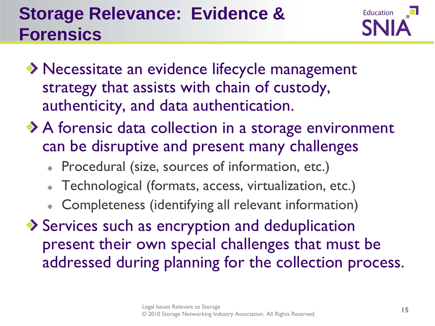#### **Storage Relevance: Evidence & Forensics**



- ◆ Necessitate an evidence lifecycle management strategy that assists with chain of custody, authenticity, and data authentication.
- ◆ A forensic data collection in a storage environment can be disruptive and present many challenges
	- Procedural (size, sources of information, etc.)
	- Technological (formats, access, virtualization, etc.)
	- Completeness (identifying all relevant information)
- Services such as encryption and deduplication present their own special challenges that must be addressed during planning for the collection process.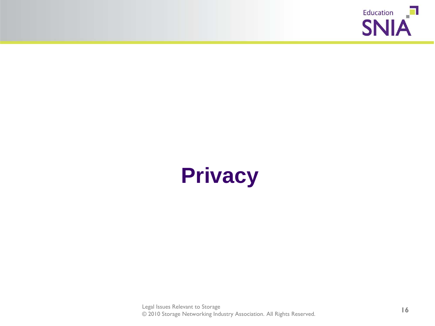

# **Privacy**

Legal Issues Relevant to Storage © 2010 Storage Networking Industry Association. All Rights Reserved. **16**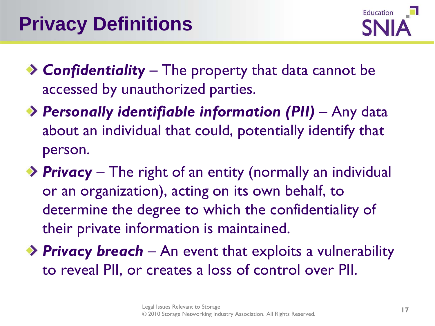

- *Confidentiality –* The property that data cannot be accessed by unauthorized parties.
- *Personally identifiable information (PII)*  Any data about an individual that could, potentially identify that person.
- ◆ **Privacy** The right of an entity (normally an individual or an organization), acting on its own behalf, to determine the degree to which the confidentiality of their private information is maintained.
- ◆ **Privacy breach** An event that exploits a vulnerability to reveal PII, or creates a loss of control over PII.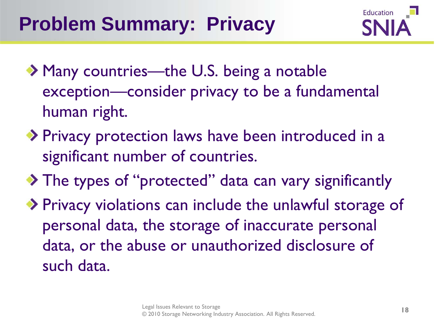

- ◆ Many countries—the U.S. being a notable exception—consider privacy to be a fundamental human right.
- ◆ Privacy protection laws have been introduced in a significant number of countries.
- ◆ The types of "protected" data can vary significantly
- ◆ Privacy violations can include the unlawful storage of personal data, the storage of inaccurate personal data, or the abuse or unauthorized disclosure of such data.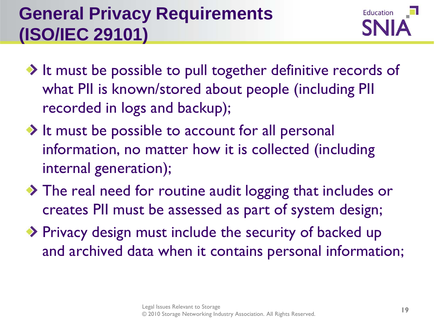#### **General Privacy Requirements (ISO/IEC 29101)**



- $\rightarrow$  It must be possible to pull together definitive records of what PII is known/stored about people (including PII recorded in logs and backup);
- $\rightarrow$  It must be possible to account for all personal information, no matter how it is collected (including internal generation);
- The real need for routine audit logging that includes or creates PII must be assessed as part of system design;
- ◆ Privacy design must include the security of backed up and archived data when it contains personal information;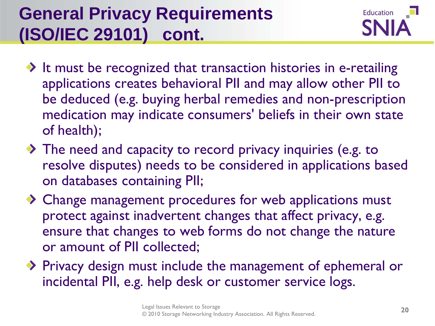#### **General Privacy Requirements (ISO/IEC 29101) cont.**



- $\rightarrow$  It must be recognized that transaction histories in e-retailing applications creates behavioral PII and may allow other PII to be deduced (e.g. buying herbal remedies and non-prescription medication may indicate consumers' beliefs in their own state of health);
- The need and capacity to record privacy inquiries (e.g. to resolve disputes) needs to be considered in applications based on databases containing PII;
- ◆ Change management procedures for web applications must protect against inadvertent changes that affect privacy, e.g. ensure that changes to web forms do not change the nature or amount of PII collected;
- Privacy design must include the management of ephemeral or incidental PII, e.g. help desk or customer service logs.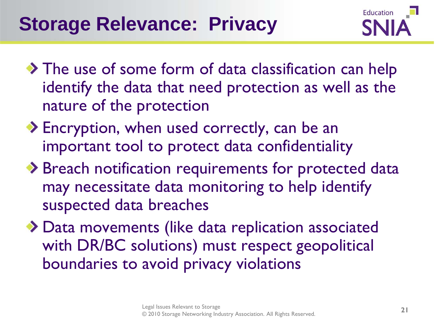

- The use of some form of data classification can help identify the data that need protection as well as the nature of the protection
- ◆ Encryption, when used correctly, can be an important tool to protect data confidentiality
- ◆ Breach notification requirements for protected data may necessitate data monitoring to help identify suspected data breaches
- ◆ Data movements (like data replication associated with DR/BC solutions) must respect geopolitical boundaries to avoid privacy violations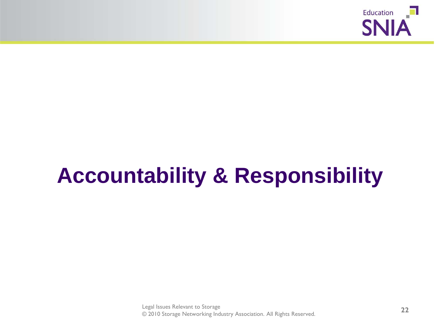

# **Accountability & Responsibility**

Legal Issues Relevant to Storage © 2010 Storage Networking Industry Association. All Rights Reserved. **22**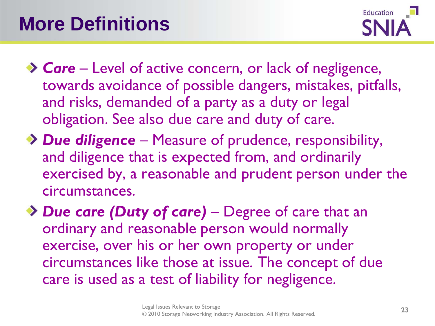

- ◆ **Care** Level of active concern, or lack of negligence, towards avoidance of possible dangers, mistakes, pitfalls, and risks, demanded of a party as a duty or legal obligation. See also due care and duty of care.
- *Due diligence –* Measure of prudence, responsibility, and diligence that is expected from, and ordinarily exercised by, a reasonable and prudent person under the circumstances.
- *Due care (Duty of care)* Degree of care that an ordinary and reasonable person would normally exercise, over his or her own property or under circumstances like those at issue. The concept of due care is used as a test of liability for negligence.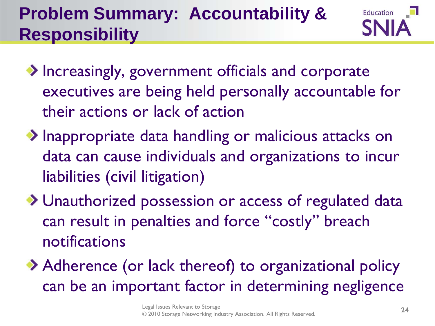#### **Problem Summary: Accountability & Responsibility**



- ◆ Increasingly, government officials and corporate executives are being held personally accountable for their actions or lack of action
- Inappropriate data handling or malicious attacks on data can cause individuals and organizations to incur liabilities (civil litigation)
- Unauthorized possession or access of regulated data can result in penalties and force "costly" breach notifications
- Adherence (or lack thereof) to organizational policy can be an important factor in determining negligence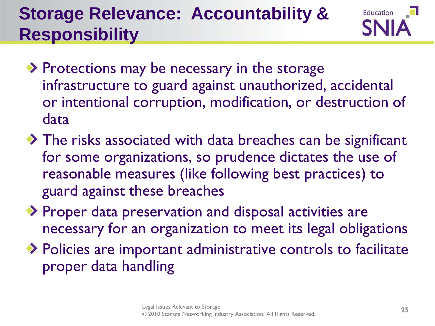#### **Storage Relevance: Accountability & Responsibility**



- ◆ Protections may be necessary in the storage infrastructure to guard against unauthorized, accidental or intentional corruption, modification, or destruction of data
- The risks associated with data breaches can be significant for some organizations, so prudence dictates the use of reasonable measures (like following best practices) to guard against these breaches
- ◆ Proper data preservation and disposal activities are necessary for an organization to meet its legal obligations
- ◆ Policies are important administrative controls to facilitate proper data handling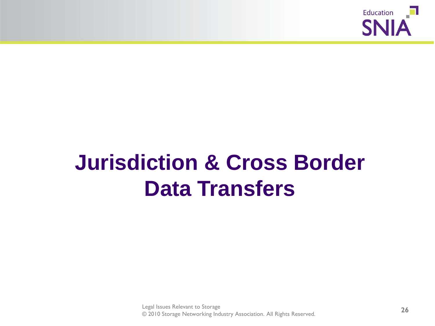

# **Jurisdiction & Cross Border Data Transfers**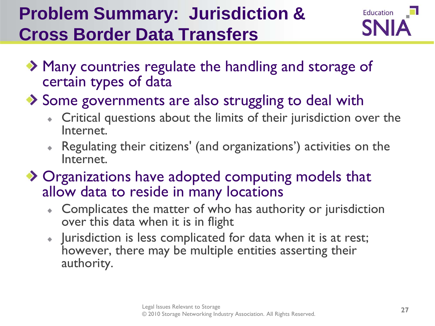#### **Problem Summary: Jurisdiction & Cross Border Data Transfers**



- ◆ Many countries regulate the handling and storage of certain types of data
- Some governments are also struggling to deal with
	- Critical questions about the limits of their jurisdiction over the Internet.
	- Regulating their citizens' (and organizations') activities on the Internet.
- ◆ Organizations have adopted computing models that allow data to reside in many locations
	- Complicates the matter of who has authority or jurisdiction  $\ddot{\Phi}$ over this data when it is in flight
	- Jurisdiction is less complicated for data when it is at rest; however, there may be multiple entities asserting their authority.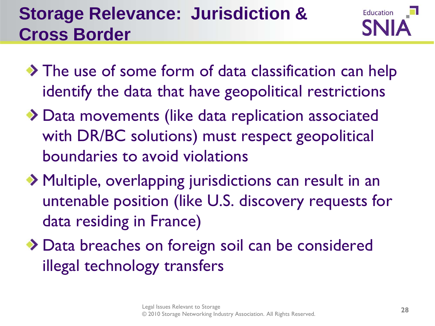#### **Storage Relevance: Jurisdiction & Cross Border**



- The use of some form of data classification can help identify the data that have geopolitical restrictions
- Data movements (like data replication associated with DR/BC solutions) must respect geopolitical boundaries to avoid violations
- Multiple, overlapping jurisdictions can result in an untenable position (like U.S. discovery requests for data residing in France)
- ◆ Data breaches on foreign soil can be considered illegal technology transfers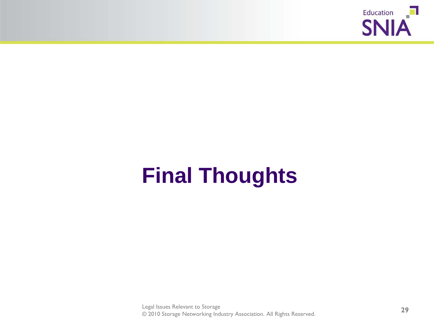

# **Final Thoughts**

Legal Issues Relevant to Storage © 2010 Storage Networking Industry Association. All Rights Reserved. **29**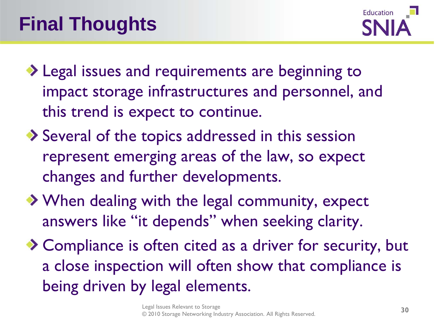

- ◆ Legal issues and requirements are beginning to impact storage infrastructures and personnel, and this trend is expect to continue.
- ◆ Several of the topics addressed in this session represent emerging areas of the law, so expect changes and further developments.
- ◆ When dealing with the legal community, expect answers like "it depends" when seeking clarity.
- ◆ Compliance is often cited as a driver for security, but a close inspection will often show that compliance is being driven by legal elements.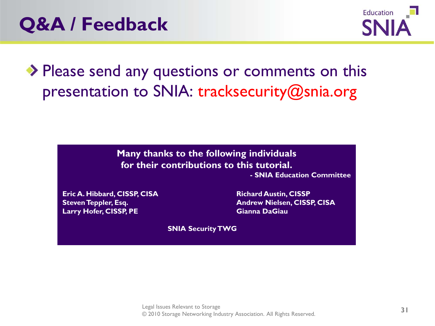

◆ Please send any questions or comments on this presentation to SNIA: tracksecurity@snia.org

> **Many thanks to the following individuals for their contributions to this tutorial.**

**- SNIA Education Committee**

**Eric A. Hibbard, CISSP, CISA Richard Austin, CISSP Larry Hofer, CISSP, PE Gianna DaGiau**

**Steven Teppler, Esq. Andrew Nielsen, CISSP, CISA**

**SNIA Security TWG**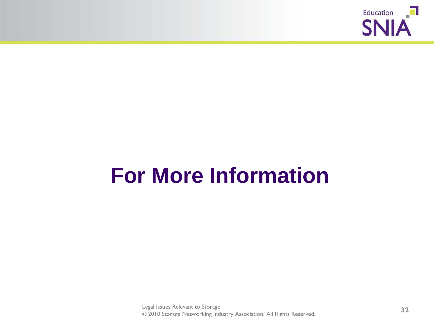

# **For More Information**

Legal Issues Relevant to Storage © 2010 Storage Networking Industry Association. All Rights Reserved. **32**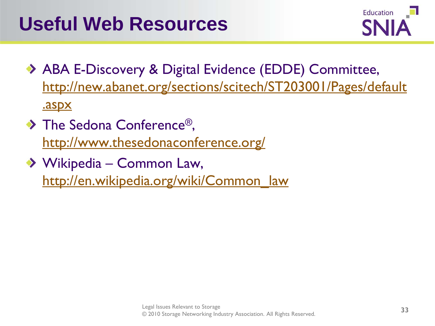

- ABA E-Discovery & Digital Evidence (EDDE) Committee, [http://new.abanet.org/sections/scitech/ST203001/Pages/default](http://new.abanet.org/sections/scitech/ST203001/Pages/default.aspx) [.aspx](http://new.abanet.org/sections/scitech/ST203001/Pages/default.aspx)
- The Sedona Conference<sup>®</sup>, <http://www.thesedonaconference.org/>
- ◆ Wikipedia Common Law, [http://en.wikipedia.org/wiki/Common\\_law](http://en.wikipedia.org/wiki/Common_law)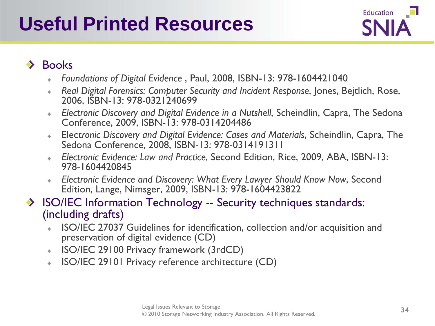### **Useful Printed Resources**



#### Books  $\bullet$

- *Foundations of Digital Evidence* , Paul, 2008, ISBN-13: 978-1604421040
- *Real Digital Forensics: Computer Security and Incident Response*, Jones, Bejtlich, Rose, ò. 2006, ISBN-13: 978-0321240699
- *Electronic Discovery and Digital Evidence in a Nutshell*, Scheindlin, Capra, The Sedona ÷. Conference, 2009, ISBN-13: 978-0314204486
- Elect*ronic Discovery and Digital Evidence: Cases and Materials*, Scheindlin, Capra, The ÷. Sedona Conference, 2008, ISBN-13: 978-0314191311
- *Electronic Evidence: Law and Practice*, Second Edition, Rice, 2009, ABA, ISBN-13: 978-1604420845
- *Electronic Evidence and Discovery: What Every Lawyer Should Know Now*, Second ÷. Edition, Lange, Nimsger, 2009, ISBN-13: 978-1604423822
- ◆ ISO/IEC Information Technology -- Security techniques standards: (including drafts)
	- ISO/IEC 27037 Guidelines for identification, collection and/or acquisition and preservation of digital evidence (CD)
	- ISO/IEC 29100 Privacy framework (3rdCD) ÷.
	- ISO/IEC 29101 Privacy reference architecture (CD) ÷.